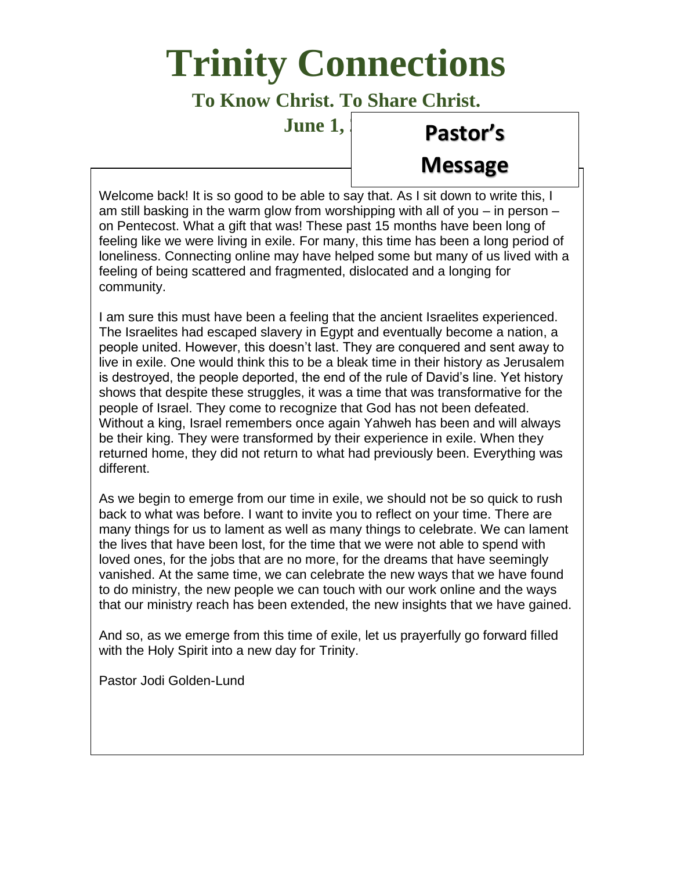# **Trinity Connections**

## **To Know Christ. To Share Christ.**

**June 1,** 

# **Pastor's**

# **Message**

Welcome back! It is so good to be able to say that. As I sit down to write this, I am still basking in the warm glow from worshipping with all of you – in person – on Pentecost. What a gift that was! These past 15 months have been long of feeling like we were living in exile. For many, this time has been a long period of loneliness. Connecting online may have helped some but many of us lived with a feeling of being scattered and fragmented, dislocated and a longing for community.

I am sure this must have been a feeling that the ancient Israelites experienced. The Israelites had escaped slavery in Egypt and eventually become a nation, a people united. However, this doesn't last. They are conquered and sent away to live in exile. One would think this to be a bleak time in their history as Jerusalem is destroyed, the people deported, the end of the rule of David's line. Yet history shows that despite these struggles, it was a time that was transformative for the people of Israel. They come to recognize that God has not been defeated. Without a king, Israel remembers once again Yahweh has been and will always be their king. They were transformed by their experience in exile. When they returned home, they did not return to what had previously been. Everything was different.

As we begin to emerge from our time in exile, we should not be so quick to rush back to what was before. I want to invite you to reflect on your time. There are many things for us to lament as well as many things to celebrate. We can lament the lives that have been lost, for the time that we were not able to spend with loved ones, for the jobs that are no more, for the dreams that have seemingly vanished. At the same time, we can celebrate the new ways that we have found to do ministry, the new people we can touch with our work online and the ways that our ministry reach has been extended, the new insights that we have gained.

And so, as we emerge from this time of exile, let us prayerfully go forward filled with the Holy Spirit into a new day for Trinity.

Pastor Jodi Golden-Lund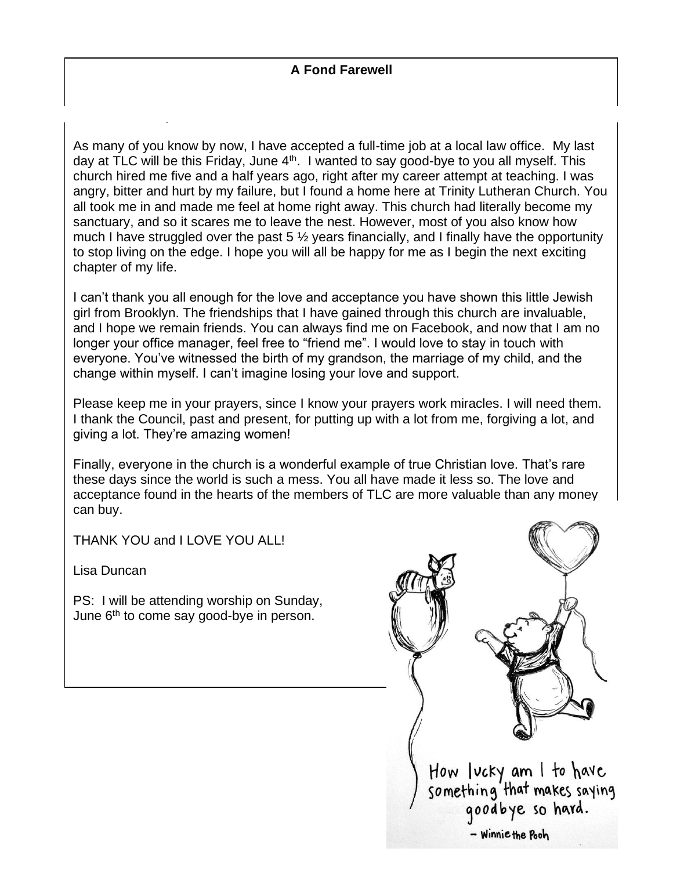#### **A Fond Farewell**

As many of you know by now, I have accepted a full-time job at a local law office. My last day at TLC will be this Friday, June 4<sup>th</sup>. I wanted to say good-bye to you all myself. This church hired me five and a half years ago, right after my career attempt at teaching. I was angry, bitter and hurt by my failure, but I found a home here at Trinity Lutheran Church. You all took me in and made me feel at home right away. This church had literally become my sanctuary, and so it scares me to leave the nest. However, most of you also know how much I have struggled over the past  $5\frac{1}{2}$  years financially, and I finally have the opportunity to stop living on the edge. I hope you will all be happy for me as I begin the next exciting chapter of my life.

I can't thank you all enough for the love and acceptance you have shown this little Jewish girl from Brooklyn. The friendships that I have gained through this church are invaluable, and I hope we remain friends. You can always find me on Facebook, and now that I am no longer your office manager, feel free to "friend me". I would love to stay in touch with everyone. You've witnessed the birth of my grandson, the marriage of my child, and the change within myself. I can't imagine losing your love and support.

Please keep me in your prayers, since I know your prayers work miracles. I will need them. I thank the Council, past and present, for putting up with a lot from me, forgiving a lot, and giving a lot. They're amazing women!

Finally, everyone in the church is a wonderful example of true Christian love. That's rare these days since the world is such a mess. You all have made it less so. The love and acceptance found in the hearts of the members of TLC are more valuable than any money can buy.

THANK YOU and I LOVE YOU ALL!

Lisa Duncan

PS: I will be attending worship on Sunday, June 6<sup>th</sup> to come say good-bye in person.

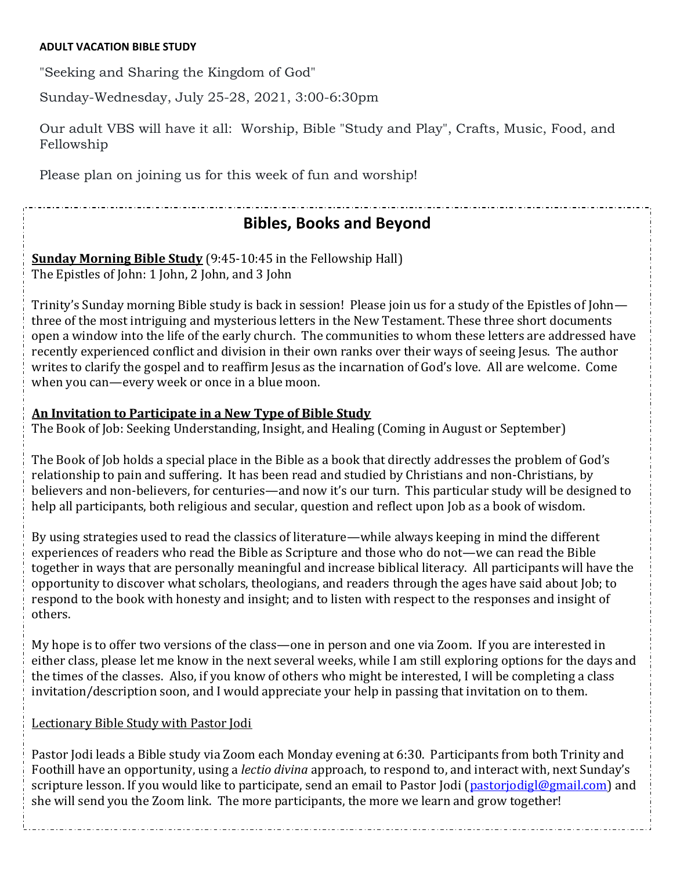#### **ADULT VACATION BIBLE STUDY**

"Seeking and Sharing the Kingdom of God"

Sunday-Wednesday, July 25-28, 2021, 3:00-6:30pm

Our adult VBS will have it all: Worship, Bible "Study and Play", Crafts, Music, Food, and Fellowship

Please plan on joining us for this week of fun and worship!

## **Bibles, Books and Beyond**

**Sunday Morning Bible Study** (9:45-10:45 in the Fellowship Hall) The Epistles of John: 1 John, 2 John, and 3 John

Trinity's Sunday morning Bible study is back in session! Please join us for a study of the Epistles of John three of the most intriguing and mysterious letters in the New Testament. These three short documents open a window into the life of the early church. The communities to whom these letters are addressed have recently experienced conflict and division in their own ranks over their ways of seeing Jesus. The author writes to clarify the gospel and to reaffirm Jesus as the incarnation of God's love. All are welcome. Come when you can—every week or once in a blue moon.

#### **An Invitation to Participate in a New Type of Bible Study**

The Book of Job: Seeking Understanding, Insight, and Healing (Coming in August or September)

The Book of Job holds a special place in the Bible as a book that directly addresses the problem of God's relationship to pain and suffering. It has been read and studied by Christians and non-Christians, by believers and non-believers, for centuries—and now it's our turn. This particular study will be designed to help all participants, both religious and secular, question and reflect upon Job as a book of wisdom.

By using strategies used to read the classics of literature—while always keeping in mind the different experiences of readers who read the Bible as Scripture and those who do not—we can read the Bible together in ways that are personally meaningful and increase biblical literacy. All participants will have the opportunity to discover what scholars, theologians, and readers through the ages have said about Job; to respond to the book with honesty and insight; and to listen with respect to the responses and insight of others.

My hope is to offer two versions of the class—one in person and one via Zoom. If you are interested in either class, please let me know in the next several weeks, while I am still exploring options for the days and the times of the classes. Also, if you know of others who might be interested, I will be completing a class invitation/description soon, and I would appreciate your help in passing that invitation on to them.

#### Lectionary Bible Study with Pastor Jodi

Pastor Jodi leads a Bible study via Zoom each Monday evening at 6:30. Participants from both Trinity and Foothill have an opportunity, using a *lectio divina* approach, to respond to, and interact with, next Sunday's scripture lesson. If you would like to participate, send an email to Pastor Jodi [\(pastorjodigl@gmail.com\)](mailto:pastorjodigl@gmail.com) and she will send you the Zoom link. The more participants, the more we learn and grow together!